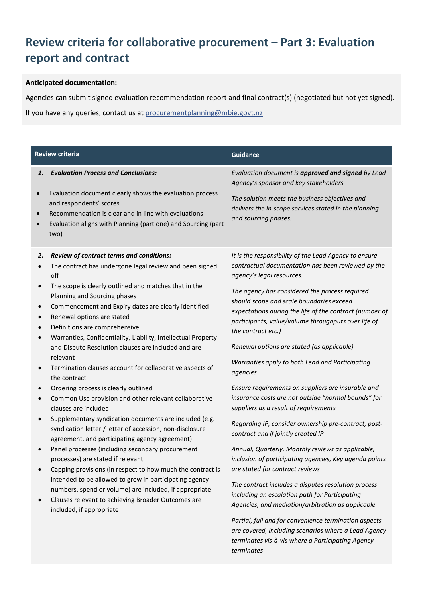## **Review criteria for collaborative procurement – Part 3: Evaluation report and contract**

## **Anticipated documentation:**

Agencies can submit signed evaluation recommendation report and final contract(s) (negotiated but not yet signed).

If you have any queries, contact us at procurementplanning@mbie.govt.nz

| <b>Review criteria</b>                                                           |                                                                                                                                                                                                                                                                                                                                                                                                                                                                                                                                                                                                                                                                                                                                                                                                                                                                                                                                                                                                                                                                                                                                                                                                          | <b>Guidance</b>                                                                                                                                                                                                                                                                                                                                                                                                                                                                                                                                                                                                                                                                                                                                                                                                                                                                                                                                                                                                                                                                                                          |  |
|----------------------------------------------------------------------------------|----------------------------------------------------------------------------------------------------------------------------------------------------------------------------------------------------------------------------------------------------------------------------------------------------------------------------------------------------------------------------------------------------------------------------------------------------------------------------------------------------------------------------------------------------------------------------------------------------------------------------------------------------------------------------------------------------------------------------------------------------------------------------------------------------------------------------------------------------------------------------------------------------------------------------------------------------------------------------------------------------------------------------------------------------------------------------------------------------------------------------------------------------------------------------------------------------------|--------------------------------------------------------------------------------------------------------------------------------------------------------------------------------------------------------------------------------------------------------------------------------------------------------------------------------------------------------------------------------------------------------------------------------------------------------------------------------------------------------------------------------------------------------------------------------------------------------------------------------------------------------------------------------------------------------------------------------------------------------------------------------------------------------------------------------------------------------------------------------------------------------------------------------------------------------------------------------------------------------------------------------------------------------------------------------------------------------------------------|--|
| 1.<br>$\bullet$                                                                  | <b>Evaluation Process and Conclusions:</b><br>Evaluation document clearly shows the evaluation process<br>and respondents' scores                                                                                                                                                                                                                                                                                                                                                                                                                                                                                                                                                                                                                                                                                                                                                                                                                                                                                                                                                                                                                                                                        | Evaluation document is approved and signed by Lead<br>Agency's sponsor and key stakeholders<br>The solution meets the business objectives and                                                                                                                                                                                                                                                                                                                                                                                                                                                                                                                                                                                                                                                                                                                                                                                                                                                                                                                                                                            |  |
| $\bullet$                                                                        | Recommendation is clear and in line with evaluations<br>Evaluation aligns with Planning (part one) and Sourcing (part<br>two)                                                                                                                                                                                                                                                                                                                                                                                                                                                                                                                                                                                                                                                                                                                                                                                                                                                                                                                                                                                                                                                                            | delivers the in-scope services stated in the planning<br>and sourcing phases.                                                                                                                                                                                                                                                                                                                                                                                                                                                                                                                                                                                                                                                                                                                                                                                                                                                                                                                                                                                                                                            |  |
| 2.<br>$\bullet$<br>$\bullet$<br>$\bullet$<br>$\bullet$<br>$\bullet$<br>$\bullet$ | Review of contract terms and conditions:<br>The contract has undergone legal review and been signed<br>off<br>The scope is clearly outlined and matches that in the<br>Planning and Sourcing phases<br>Commencement and Expiry dates are clearly identified<br>Renewal options are stated<br>Definitions are comprehensive<br>Warranties, Confidentiality, Liability, Intellectual Property<br>and Dispute Resolution clauses are included and are<br>relevant<br>Termination clauses account for collaborative aspects of<br>the contract<br>Ordering process is clearly outlined<br>Common Use provision and other relevant collaborative<br>clauses are included<br>Supplementary syndication documents are included (e.g.<br>syndication letter / letter of accession, non-disclosure<br>agreement, and participating agency agreement)<br>Panel processes (including secondary procurement<br>processes) are stated if relevant<br>Capping provisions (in respect to how much the contract is<br>intended to be allowed to grow in participating agency<br>numbers, spend or volume) are included, if appropriate<br>Clauses relevant to achieving Broader Outcomes are<br>included, if appropriate | It is the responsibility of the Lead Agency to ensure<br>contractual documentation has been reviewed by the<br>agency's legal resources.<br>The agency has considered the process required<br>should scope and scale boundaries exceed<br>expectations during the life of the contract (number of<br>participants, value/volume throughputs over life of<br>the contract etc.)<br>Renewal options are stated (as applicable)<br>Warranties apply to both Lead and Participating<br>agencies<br>Ensure requirements on suppliers are insurable and<br>insurance costs are not outside "normal bounds" for<br>suppliers as a result of requirements<br>Regarding IP, consider ownership pre-contract, post-<br>contract and if jointly created IP<br>Annual, Quarterly, Monthly reviews as applicable,<br>inclusion of participating agencies, Key agenda points<br>are stated for contract reviews<br>The contract includes a disputes resolution process<br>including an escalation path for Participating<br>Agencies, and mediation/arbitration as applicable<br>Partial, full and for convenience termination aspects |  |
|                                                                                  |                                                                                                                                                                                                                                                                                                                                                                                                                                                                                                                                                                                                                                                                                                                                                                                                                                                                                                                                                                                                                                                                                                                                                                                                          | are covered, including scenarios where a Lead Agency<br>terminates vis-à-vis where a Participating Agency<br>terminates                                                                                                                                                                                                                                                                                                                                                                                                                                                                                                                                                                                                                                                                                                                                                                                                                                                                                                                                                                                                  |  |